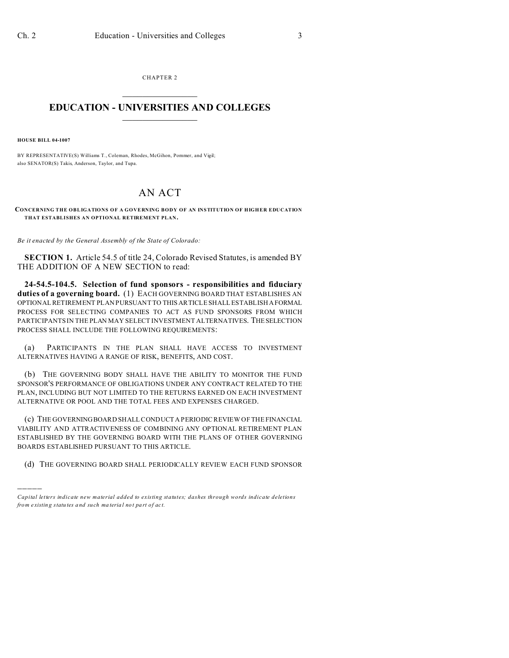CHAPTER 2  $\overline{\phantom{a}}$  , where  $\overline{\phantom{a}}$ 

## **EDUCATION - UNIVERSITIES AND COLLEGES**  $\frac{1}{2}$

**HOUSE BILL 04-1007**

)))))

BY REPRESENTATIVE(S) Williams T., Coleman, Rhodes, McGihon, Pommer, and Vigil; also SENATOR(S) Takis, Anderson, Taylor, and Tupa.

## AN ACT

**CONCERNING THE OBLIGATIONS OF A GOVERNING BODY OF AN INSTITUTION OF HIGHER EDUCATION THAT ESTABLISHES AN OPTIONAL RETIREMENT PLAN.**

*Be it enacted by the General Assembly of the State of Colorado:*

**SECTION 1.** Article 54.5 of title 24, Colorado Revised Statutes, is amended BY THE ADDITION OF A NEW SECTION to read:

**24-54.5-104.5. Selection of fund sponsors - responsibilities and fiduciary duties of a governing board.** (1) EACH GOVERNING BOARD THAT ESTABLISHES AN OPTIONAL RETIREMENT PLAN PURSUANT TO THIS ARTICLE SHALL ESTABLISH AFORMAL PROCESS FOR SELECTING COMPANIES TO ACT AS FUND SPONSORS FROM WHICH PARTICIPANTS IN THE PLAN MAY SELECT INVESTMENT ALTERNATIVES. THESELECTION PROCESS SHALL INCLUDE THE FOLLOWING REQUIREMENTS:

(a) PARTICIPANTS IN THE PLAN SHALL HAVE ACCESS TO INVESTMENT ALTERNATIVES HAVING A RANGE OF RISK, BENEFITS, AND COST.

(b) THE GOVERNING BODY SHALL HAVE THE ABILITY TO MONITOR THE FUND SPONSOR'S PERFORMANCE OF OBLIGATIONS UNDER ANY CONTRACT RELATED TO THE PLAN, INCLUDING BUT NOT LIMITED TO THE RETURNS EARNED ON EACH INVESTMENT ALTERNATIVE OR POOL AND THE TOTAL FEES AND EXPENSES CHARGED.

(c) THE GOVERNING BOARD SHALL CONDUCT A PERIODIC REVIEW OF THE FINANCIAL VIABILITY AND ATTRACTIVENESS OF COMBINING ANY OPTIONAL RETIREMENT PLAN ESTABLISHED BY THE GOVERNING BOARD WITH THE PLANS OF OTHER GOVERNING BOARDS ESTABLISHED PURSUANT TO THIS ARTICLE.

(d) THE GOVERNING BOARD SHALL PERIODICALLY REVIEW EACH FUND SPONSOR

*Capital letters indicate new material added to existing statutes; dashes through words indicate deletions from e xistin g statu tes a nd such ma teria l no t pa rt of ac t.*